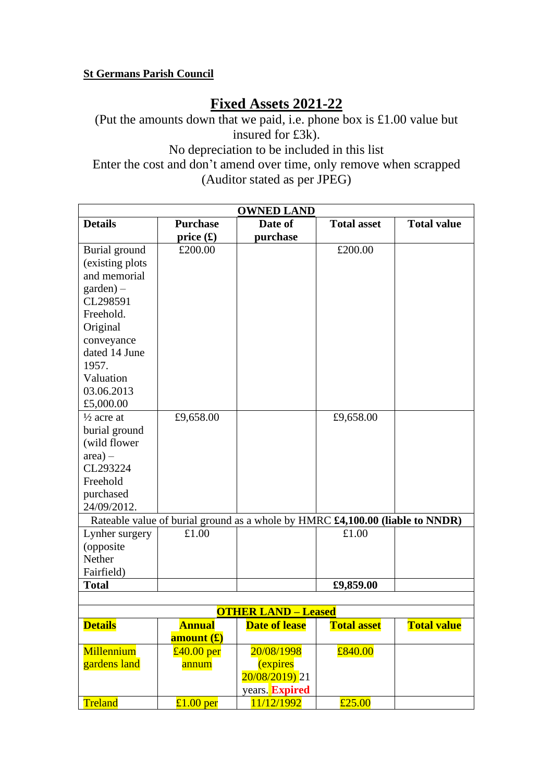## **St Germans Parish Council**

# **Fixed Assets 2021-22**

(Put the amounts down that we paid, i.e. phone box is £1.00 value but insured for £3k). No depreciation to be included in this list Enter the cost and don't amend over time, only remove when scrapped (Auditor stated as per JPEG)

| <b>OWNED LAND</b>                                                             |                   |                      |                    |                          |  |  |
|-------------------------------------------------------------------------------|-------------------|----------------------|--------------------|--------------------------|--|--|
| <b>Details</b>                                                                | <b>Purchase</b>   | Date of              | <b>Total asset</b> | <b>Total value</b>       |  |  |
|                                                                               | price $(\pounds)$ | purchase             |                    |                          |  |  |
| Burial ground                                                                 | £200.00           |                      | £200.00            |                          |  |  |
| (existing plots                                                               |                   |                      |                    |                          |  |  |
| and memorial                                                                  |                   |                      |                    |                          |  |  |
| $\text{garden}$ ) –                                                           |                   |                      |                    |                          |  |  |
| CL298591                                                                      |                   |                      |                    |                          |  |  |
| Freehold.                                                                     |                   |                      |                    |                          |  |  |
| Original                                                                      |                   |                      |                    |                          |  |  |
| conveyance                                                                    |                   |                      |                    |                          |  |  |
| dated 14 June                                                                 |                   |                      |                    |                          |  |  |
| 1957.                                                                         |                   |                      |                    |                          |  |  |
| Valuation                                                                     |                   |                      |                    |                          |  |  |
| 03.06.2013                                                                    |                   |                      |                    |                          |  |  |
| £5,000.00                                                                     |                   |                      |                    |                          |  |  |
| $\frac{1}{2}$ acre at                                                         | £9,658.00         |                      | £9,658.00          |                          |  |  |
| burial ground                                                                 |                   |                      |                    |                          |  |  |
| (wild flower                                                                  |                   |                      |                    |                          |  |  |
| $area) -$                                                                     |                   |                      |                    |                          |  |  |
| CL293224                                                                      |                   |                      |                    |                          |  |  |
| Freehold                                                                      |                   |                      |                    |                          |  |  |
| purchased                                                                     |                   |                      |                    |                          |  |  |
| 24/09/2012.                                                                   |                   |                      |                    |                          |  |  |
| Rateable value of burial ground as a whole by HMRC £4,100.00 (liable to NNDR) |                   |                      |                    |                          |  |  |
| Lynher surgery                                                                | £1.00             |                      | £1.00              |                          |  |  |
| (opposite                                                                     |                   |                      |                    |                          |  |  |
| Nether                                                                        |                   |                      |                    |                          |  |  |
| Fairfield)                                                                    |                   |                      |                    |                          |  |  |
| <b>Total</b>                                                                  |                   |                      | £9,859.00          |                          |  |  |
|                                                                               |                   |                      |                    |                          |  |  |
| <b>OTHER LAND - Leased</b>                                                    |                   |                      |                    |                          |  |  |
| <b>Details</b>                                                                | <b>Annual</b>     | <b>Date of lease</b> | <b>Total asset</b> | <mark>Total value</mark> |  |  |
|                                                                               | amount (£)        |                      |                    |                          |  |  |
| Millennium                                                                    | $£40.00$ per      | 20/08/1998           | £840.00            |                          |  |  |
| gardens land                                                                  | annum             | <i>(expires)</i>     |                    |                          |  |  |
|                                                                               |                   | 20/08/2019) 21       |                    |                          |  |  |
|                                                                               |                   | years. Expired       |                    |                          |  |  |
| Treland                                                                       | £1.00 per         | 11/12/1992           | £25.00             |                          |  |  |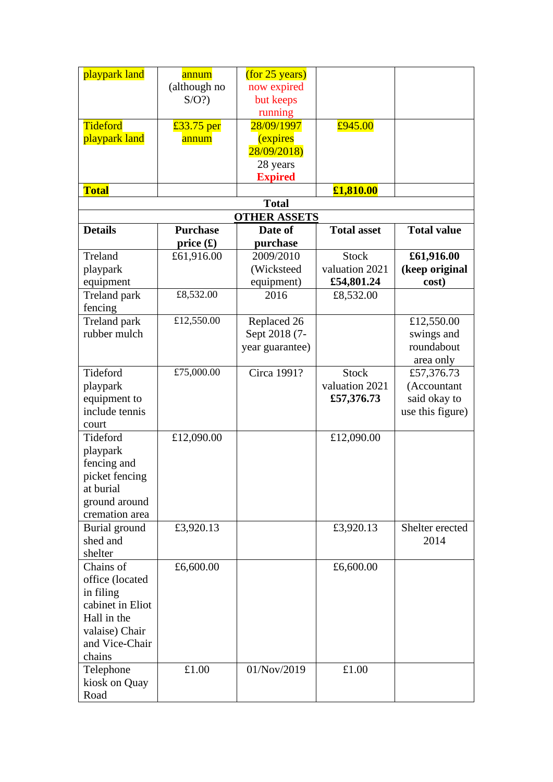| playpark land       | annum           | (for 25 years)      |                    |                    |
|---------------------|-----------------|---------------------|--------------------|--------------------|
|                     | (although no    | now expired         |                    |                    |
|                     | $S/O$ ?         | but keeps           |                    |                    |
|                     |                 | running             |                    |                    |
| Tideford            | £33.75 per      | 28/09/1997          | £945.00            |                    |
| playpark land       | annum           | <i>(expires)</i>    |                    |                    |
|                     |                 | 28/09/2018)         |                    |                    |
|                     |                 | 28 years            |                    |                    |
|                     |                 | <b>Expired</b>      |                    |                    |
| <b>Total</b>        |                 |                     | £1,810.00          |                    |
|                     |                 | <b>Total</b>        |                    |                    |
|                     |                 | <b>OTHER ASSETS</b> |                    |                    |
| <b>Details</b>      | <b>Purchase</b> | Date of             | <b>Total asset</b> | <b>Total value</b> |
|                     | price $(f)$     | purchase            |                    |                    |
| Treland             | £61,916.00      | 2009/2010           | <b>Stock</b>       | £61,916.00         |
| playpark            |                 | (Wicksteed          | valuation 2021     | (keep original     |
| equipment           |                 | equipment)          | £54,801.24         | cost)              |
| Treland park        | £8,532.00       | 2016                | £8,532.00          |                    |
| fencing             |                 |                     |                    |                    |
| <b>Treland</b> park | £12,550.00      | Replaced 26         |                    | £12,550.00         |
| rubber mulch        |                 | Sept 2018 (7-       |                    | swings and         |
|                     |                 | year guarantee)     |                    | roundabout         |
|                     |                 |                     |                    | area only          |
| Tideford            | £75,000.00      | Circa 1991?         | <b>Stock</b>       | £57,376.73         |
| playpark            |                 |                     | valuation 2021     | (Accountant        |
| equipment to        |                 |                     | £57,376.73         | said okay to       |
| include tennis      |                 |                     |                    | use this figure)   |
| court               |                 |                     |                    |                    |
| Tideford            | £12,090.00      |                     | £12,090.00         |                    |
| playpark            |                 |                     |                    |                    |
| fencing and         |                 |                     |                    |                    |
| picket fencing      |                 |                     |                    |                    |
| at burial           |                 |                     |                    |                    |
| ground around       |                 |                     |                    |                    |
| cremation area      |                 |                     |                    |                    |
| Burial ground       | £3,920.13       |                     | £3,920.13          | Shelter erected    |
| shed and            |                 |                     |                    | 2014               |
| shelter             |                 |                     |                    |                    |
| Chains of           | £6,600.00       |                     | £6,600.00          |                    |
| office (located     |                 |                     |                    |                    |
| in filing           |                 |                     |                    |                    |
| cabinet in Eliot    |                 |                     |                    |                    |
| Hall in the         |                 |                     |                    |                    |
| valaise) Chair      |                 |                     |                    |                    |
| and Vice-Chair      |                 |                     |                    |                    |
| chains              |                 |                     |                    |                    |
| Telephone           | £1.00           | 01/Nov/2019         | £1.00              |                    |
| kiosk on Quay       |                 |                     |                    |                    |
| Road                |                 |                     |                    |                    |
|                     |                 |                     |                    |                    |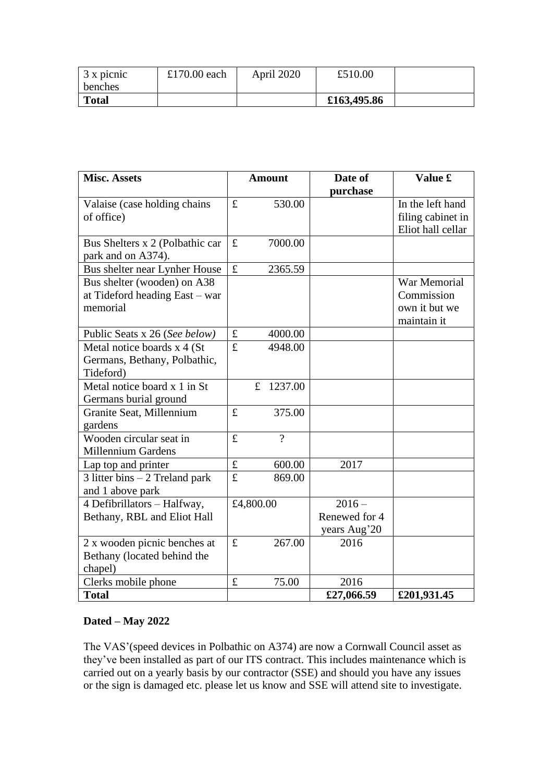| $3 \times$ picnic<br>benches | £170.00 each | April 2020 | £510.00     |  |
|------------------------------|--------------|------------|-------------|--|
| <b>Total</b>                 |              |            | £163,495.86 |  |

| <b>Misc. Assets</b>             |             | <b>Amount</b>          | Date of       | Value £           |
|---------------------------------|-------------|------------------------|---------------|-------------------|
|                                 |             |                        | purchase      |                   |
| Valaise (case holding chains    | £           | 530.00                 |               | In the left hand  |
| of office)                      |             |                        |               | filing cabinet in |
|                                 |             |                        |               | Eliot hall cellar |
| Bus Shelters x 2 (Polbathic car | £           | 7000.00                |               |                   |
| park and on A374).              |             |                        |               |                   |
| Bus shelter near Lynher House   | £           | 2365.59                |               |                   |
| Bus shelter (wooden) on A38     |             |                        |               | War Memorial      |
| at Tideford heading East - war  |             |                        |               | Commission        |
| memorial                        |             |                        |               | own it but we     |
|                                 |             |                        |               | maintain it       |
| Public Seats x 26 (See below)   | $\mathbf f$ | 4000.00                |               |                   |
| Metal notice boards x 4 (St     | £           | 4948.00                |               |                   |
| Germans, Bethany, Polbathic,    |             |                        |               |                   |
| Tideford)                       |             |                        |               |                   |
| Metal notice board x 1 in St    |             | 1237.00<br>$\mathbf f$ |               |                   |
| Germans burial ground           |             |                        |               |                   |
| Granite Seat, Millennium        |             | 375.00                 |               |                   |
| gardens                         |             |                        |               |                   |
| Wooden circular seat in         | £           | $\gamma$               |               |                   |
| <b>Millennium Gardens</b>       |             |                        |               |                   |
| Lap top and printer             | $\pounds$   | 600.00                 | 2017          |                   |
| 3 litter bins $-2$ Treland park | £           | 869.00                 |               |                   |
| and 1 above park                |             |                        |               |                   |
| 4 Defibrillators - Halfway,     |             | £4,800.00              | $2016 -$      |                   |
| Bethany, RBL and Eliot Hall     |             |                        | Renewed for 4 |                   |
|                                 |             |                        | years Aug'20  |                   |
| 2 x wooden picnic benches at    | £           | 267.00                 | 2016          |                   |
| Bethany (located behind the     |             |                        |               |                   |
| chapel)                         |             |                        |               |                   |
| Clerks mobile phone             | $\pounds$   | 75.00                  | 2016          |                   |
| <b>Total</b>                    |             |                        | £27,066.59    | £201,931.45       |

## **Dated – May 2022**

The VAS'(speed devices in Polbathic on A374) are now a Cornwall Council asset as they've been installed as part of our ITS contract. This includes maintenance which is carried out on a yearly basis by our contractor (SSE) and should you have any issues or the sign is damaged etc. please let us know and SSE will attend site to investigate.